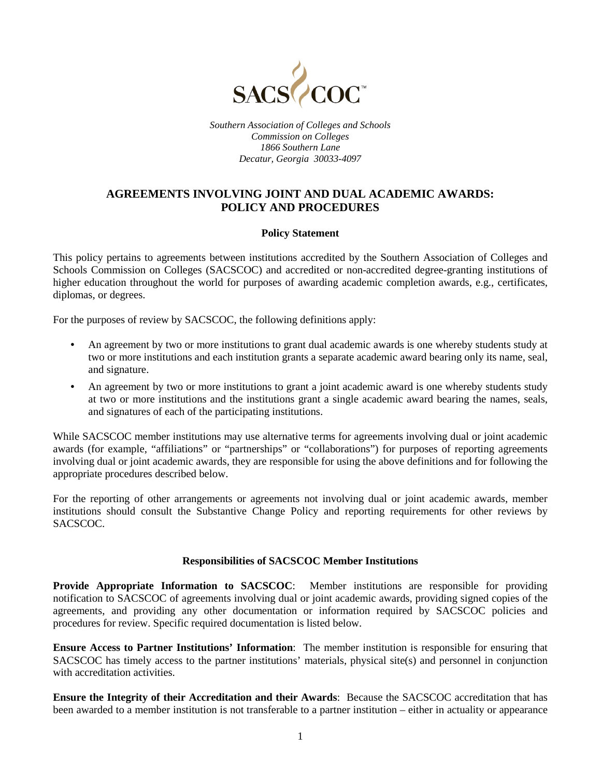

*Southern Association of Colleges and Schools Commission on Colleges 1866 Southern Lane Decatur, Georgia 30033-4097*

# **AGREEMENTS INVOLVING JOINT AND DUAL ACADEMIC AWARDS: POLICY AND PROCEDURES**

# **Policy Statement**

This policy pertains to agreements between institutions accredited by the Southern Association of Colleges and Schools Commission on Colleges (SACSCOC) and accredited or non-accredited degree-granting institutions of higher education throughout the world for purposes of awarding academic completion awards, e.g., certificates, diplomas, or degrees.

For the purposes of review by SACSCOC, the following definitions apply:

- An agreement by two or more institutions to grant dual academic awards is one whereby students study at two or more institutions and each institution grants a separate academic award bearing only its name, seal, and signature.
- An agreement by two or more institutions to grant a joint academic award is one whereby students study at two or more institutions and the institutions grant a single academic award bearing the names, seals, and signatures of each of the participating institutions.

While SACSCOC member institutions may use alternative terms for agreements involving dual or joint academic awards (for example, "affiliations" or "partnerships" or "collaborations") for purposes of reporting agreements involving dual or joint academic awards, they are responsible for using the above definitions and for following the appropriate procedures described below.

For the reporting of other arrangements or agreements not involving dual or joint academic awards, member institutions should consult the Substantive Change Policy and reporting requirements for other reviews by SACSCOC.

# **Responsibilities of SACSCOC Member Institutions**

**Provide Appropriate Information to SACSCOC:** Member institutions are responsible for providing notification to SACSCOC of agreements involving dual or joint academic awards, providing signed copies of the agreements, and providing any other documentation or information required by SACSCOC policies and procedures for review. Specific required documentation is listed below.

**Ensure Access to Partner Institutions' Information**: The member institution is responsible for ensuring that SACSCOC has timely access to the partner institutions' materials, physical site(s) and personnel in conjunction with accreditation activities.

**Ensure the Integrity of their Accreditation and their Awards**: Because the SACSCOC accreditation that has been awarded to a member institution is not transferable to a partner institution – either in actuality or appearance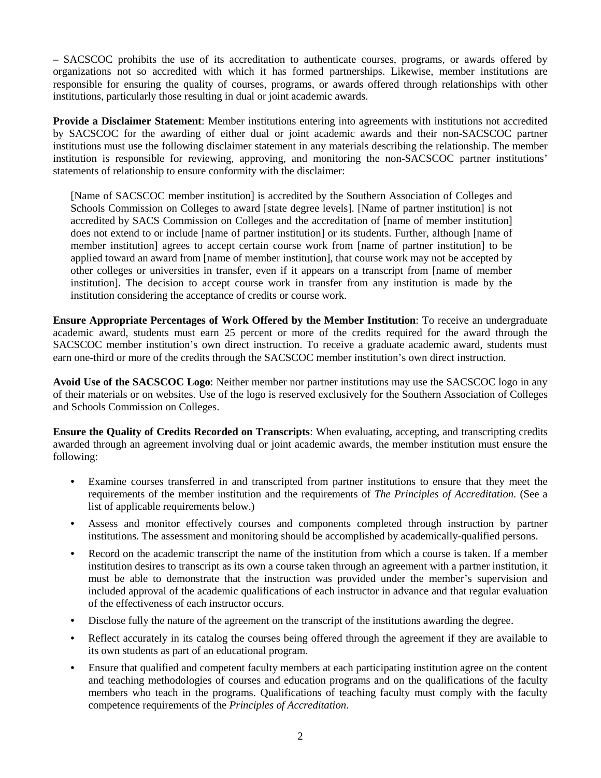– SACSCOC prohibits the use of its accreditation to authenticate courses, programs, or awards offered by organizations not so accredited with which it has formed partnerships. Likewise, member institutions are responsible for ensuring the quality of courses, programs, or awards offered through relationships with other institutions, particularly those resulting in dual or joint academic awards.

**Provide a Disclaimer Statement**: Member institutions entering into agreements with institutions not accredited by SACSCOC for the awarding of either dual or joint academic awards and their non-SACSCOC partner institutions must use the following disclaimer statement in any materials describing the relationship. The member institution is responsible for reviewing, approving, and monitoring the non-SACSCOC partner institutions' statements of relationship to ensure conformity with the disclaimer:

[Name of SACSCOC member institution] is accredited by the Southern Association of Colleges and Schools Commission on Colleges to award [state degree levels]. [Name of partner institution] is not accredited by SACS Commission on Colleges and the accreditation of [name of member institution] does not extend to or include [name of partner institution] or its students. Further, although [name of member institution] agrees to accept certain course work from [name of partner institution] to be applied toward an award from [name of member institution], that course work may not be accepted by other colleges or universities in transfer, even if it appears on a transcript from [name of member institution]. The decision to accept course work in transfer from any institution is made by the institution considering the acceptance of credits or course work.

**Ensure Appropriate Percentages of Work Offered by the Member Institution**: To receive an undergraduate academic award, students must earn 25 percent or more of the credits required for the award through the SACSCOC member institution's own direct instruction. To receive a graduate academic award, students must earn one-third or more of the credits through the SACSCOC member institution's own direct instruction.

**Avoid Use of the SACSCOC Logo**: Neither member nor partner institutions may use the SACSCOC logo in any of their materials or on websites. Use of the logo is reserved exclusively for the Southern Association of Colleges and Schools Commission on Colleges.

**Ensure the Quality of Credits Recorded on Transcripts**: When evaluating, accepting, and transcripting credits awarded through an agreement involving dual or joint academic awards, the member institution must ensure the following:

- Examine courses transferred in and transcripted from partner institutions to ensure that they meet the requirements of the member institution and the requirements of *The Principles of Accreditation*. (See a list of applicable requirements below.)
- Assess and monitor effectively courses and components completed through instruction by partner institutions. The assessment and monitoring should be accomplished by academically-qualified persons.
- Record on the academic transcript the name of the institution from which a course is taken. If a member institution desires to transcript as its own a course taken through an agreement with a partner institution, it must be able to demonstrate that the instruction was provided under the member's supervision and included approval of the academic qualifications of each instructor in advance and that regular evaluation of the effectiveness of each instructor occurs.
- Disclose fully the nature of the agreement on the transcript of the institutions awarding the degree.
- Reflect accurately in its catalog the courses being offered through the agreement if they are available to its own students as part of an educational program.
- Ensure that qualified and competent faculty members at each participating institution agree on the content and teaching methodologies of courses and education programs and on the qualifications of the faculty members who teach in the programs. Qualifications of teaching faculty must comply with the faculty competence requirements of the *Principles of Accreditation*.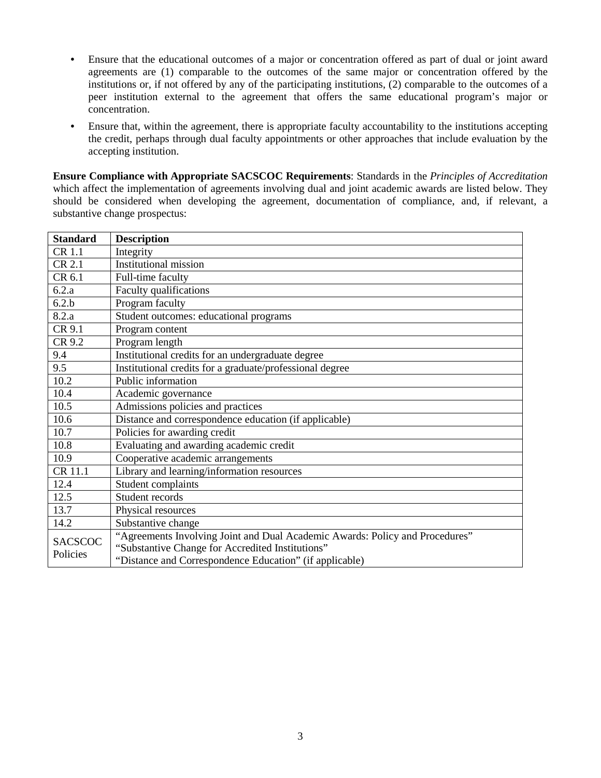- Ensure that the educational outcomes of a major or concentration offered as part of dual or joint award agreements are (1) comparable to the outcomes of the same major or concentration offered by the institutions or, if not offered by any of the participating institutions, (2) comparable to the outcomes of a peer institution external to the agreement that offers the same educational program's major or concentration.
- Ensure that, within the agreement, there is appropriate faculty accountability to the institutions accepting the credit, perhaps through dual faculty appointments or other approaches that include evaluation by the accepting institution.

**Ensure Compliance with Appropriate SACSCOC Requirements**: Standards in the *Principles of Accreditation* which affect the implementation of agreements involving dual and joint academic awards are listed below. They should be considered when developing the agreement, documentation of compliance, and, if relevant, a substantive change prospectus:

| <b>Standard</b>            | <b>Description</b>                                                           |
|----------------------------|------------------------------------------------------------------------------|
| CR 1.1                     | Integrity                                                                    |
| CR 2.1                     | Institutional mission                                                        |
| CR 6.1                     | Full-time faculty                                                            |
| 6.2.a                      | Faculty qualifications                                                       |
| 6.2.b                      | Program faculty                                                              |
| 8.2.a                      | Student outcomes: educational programs                                       |
| CR 9.1                     | Program content                                                              |
| CR 9.2                     | Program length                                                               |
| 9.4                        | Institutional credits for an undergraduate degree                            |
| 9.5                        | Institutional credits for a graduate/professional degree                     |
| 10.2                       | Public information                                                           |
| 10.4                       | Academic governance                                                          |
| 10.5                       | Admissions policies and practices                                            |
| 10.6                       | Distance and correspondence education (if applicable)                        |
| 10.7                       | Policies for awarding credit                                                 |
| 10.8                       | Evaluating and awarding academic credit                                      |
| 10.9                       | Cooperative academic arrangements                                            |
| CR 11.1                    | Library and learning/information resources                                   |
| 12.4                       | Student complaints                                                           |
| 12.5                       | Student records                                                              |
| 13.7                       | Physical resources                                                           |
| 14.2                       | Substantive change                                                           |
| <b>SACSCOC</b><br>Policies | "Agreements Involving Joint and Dual Academic Awards: Policy and Procedures" |
|                            | "Substantive Change for Accredited Institutions"                             |
|                            | "Distance and Correspondence Education" (if applicable)                      |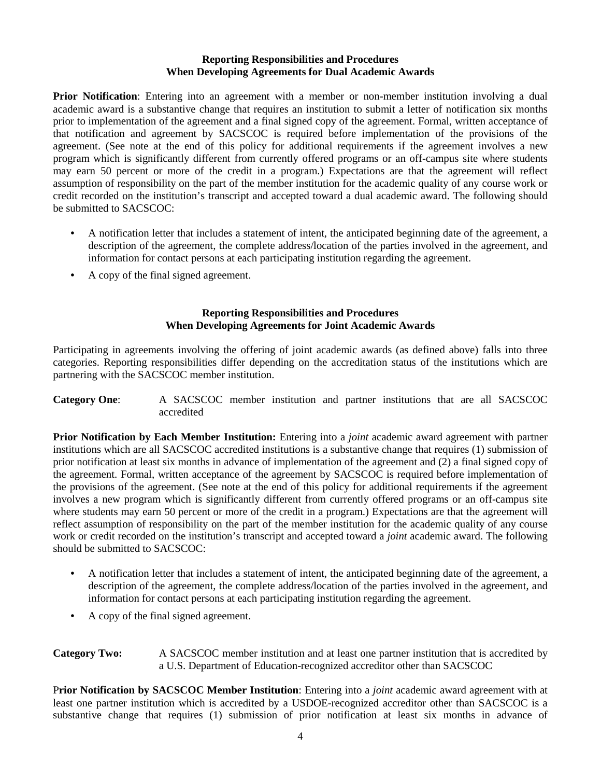#### **Reporting Responsibilities and Procedures When Developing Agreements for Dual Academic Awards**

**Prior Notification**: Entering into an agreement with a member or non-member institution involving a dual academic award is a substantive change that requires an institution to submit a letter of notification six months prior to implementation of the agreement and a final signed copy of the agreement. Formal, written acceptance of that notification and agreement by SACSCOC is required before implementation of the provisions of the agreement. (See note at the end of this policy for additional requirements if the agreement involves a new program which is significantly different from currently offered programs or an off-campus site where students may earn 50 percent or more of the credit in a program.) Expectations are that the agreement will reflect assumption of responsibility on the part of the member institution for the academic quality of any course work or credit recorded on the institution's transcript and accepted toward a dual academic award. The following should be submitted to SACSCOC:

- A notification letter that includes a statement of intent, the anticipated beginning date of the agreement, a description of the agreement, the complete address/location of the parties involved in the agreement, and information for contact persons at each participating institution regarding the agreement.
- A copy of the final signed agreement.

### **Reporting Responsibilities and Procedures When Developing Agreements for Joint Academic Awards**

Participating in agreements involving the offering of joint academic awards (as defined above) falls into three categories. Reporting responsibilities differ depending on the accreditation status of the institutions which are partnering with the SACSCOC member institution.

**Category One**: A SACSCOC member institution and partner institutions that are all SACSCOC accredited

**Prior Notification by Each Member Institution:** Entering into a *joint* academic award agreement with partner institutions which are all SACSCOC accredited institutions is a substantive change that requires (1) submission of prior notification at least six months in advance of implementation of the agreement and (2) a final signed copy of the agreement. Formal, written acceptance of the agreement by SACSCOC is required before implementation of the provisions of the agreement. (See note at the end of this policy for additional requirements if the agreement involves a new program which is significantly different from currently offered programs or an off-campus site where students may earn 50 percent or more of the credit in a program.) Expectations are that the agreement will reflect assumption of responsibility on the part of the member institution for the academic quality of any course work or credit recorded on the institution's transcript and accepted toward a *joint* academic award. The following should be submitted to SACSCOC:

- A notification letter that includes a statement of intent, the anticipated beginning date of the agreement, a description of the agreement, the complete address/location of the parties involved in the agreement, and information for contact persons at each participating institution regarding the agreement.
- A copy of the final signed agreement.

**Category Two:** A SACSCOC member institution and at least one partner institution that is accredited by a U.S. Department of Education-recognized accreditor other than SACSCOC

P**rior Notification by SACSCOC Member Institution**: Entering into a *joint* academic award agreement with at least one partner institution which is accredited by a USDOE-recognized accreditor other than SACSCOC is a substantive change that requires (1) submission of prior notification at least six months in advance of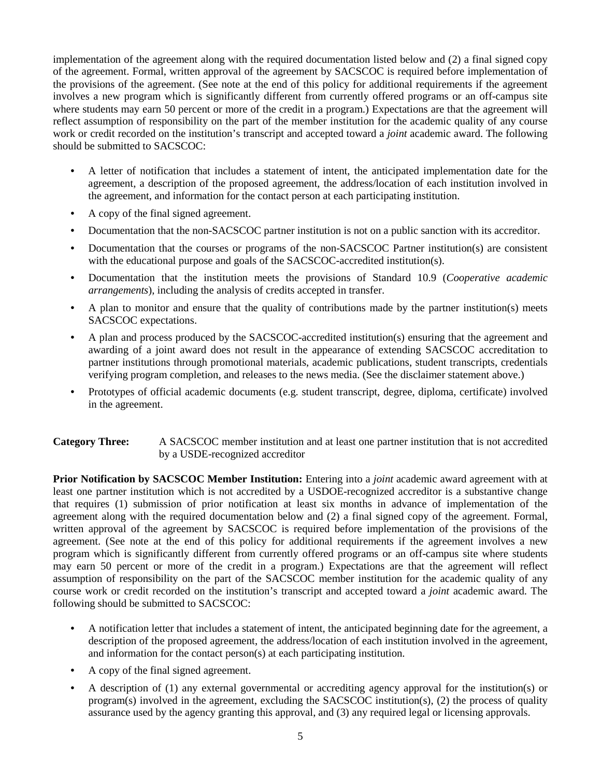implementation of the agreement along with the required documentation listed below and (2) a final signed copy of the agreement. Formal, written approval of the agreement by SACSCOC is required before implementation of the provisions of the agreement. (See note at the end of this policy for additional requirements if the agreement involves a new program which is significantly different from currently offered programs or an off-campus site where students may earn 50 percent or more of the credit in a program.) Expectations are that the agreement will reflect assumption of responsibility on the part of the member institution for the academic quality of any course work or credit recorded on the institution's transcript and accepted toward a *joint* academic award. The following should be submitted to SACSCOC:

- A letter of notification that includes a statement of intent, the anticipated implementation date for the agreement, a description of the proposed agreement, the address/location of each institution involved in the agreement, and information for the contact person at each participating institution.
- A copy of the final signed agreement.
- Documentation that the non-SACSCOC partner institution is not on a public sanction with its accreditor.
- Documentation that the courses or programs of the non-SACSCOC Partner institution(s) are consistent with the educational purpose and goals of the SACSCOC-accredited institution(s).
- Documentation that the institution meets the provisions of Standard 10.9 (*Cooperative academic arrangements*), including the analysis of credits accepted in transfer.
- A plan to monitor and ensure that the quality of contributions made by the partner institution(s) meets SACSCOC expectations.
- A plan and process produced by the SACSCOC-accredited institution(s) ensuring that the agreement and awarding of a joint award does not result in the appearance of extending SACSCOC accreditation to partner institutions through promotional materials, academic publications, student transcripts, credentials verifying program completion, and releases to the news media. (See the disclaimer statement above.)
- Prototypes of official academic documents (e.g. student transcript, degree, diploma, certificate) involved in the agreement.

# **Category Three:** A SACSCOC member institution and at least one partner institution that is not accredited by a USDE-recognized accreditor

**Prior Notification by SACSCOC Member Institution:** Entering into a *joint* academic award agreement with at least one partner institution which is not accredited by a USDOE-recognized accreditor is a substantive change that requires (1) submission of prior notification at least six months in advance of implementation of the agreement along with the required documentation below and (2) a final signed copy of the agreement. Formal, written approval of the agreement by SACSCOC is required before implementation of the provisions of the agreement. (See note at the end of this policy for additional requirements if the agreement involves a new program which is significantly different from currently offered programs or an off-campus site where students may earn 50 percent or more of the credit in a program.) Expectations are that the agreement will reflect assumption of responsibility on the part of the SACSCOC member institution for the academic quality of any course work or credit recorded on the institution's transcript and accepted toward a *joint* academic award. The following should be submitted to SACSCOC:

- A notification letter that includes a statement of intent, the anticipated beginning date for the agreement, a description of the proposed agreement, the address/location of each institution involved in the agreement, and information for the contact person(s) at each participating institution.
- A copy of the final signed agreement.
- A description of (1) any external governmental or accrediting agency approval for the institution(s) or program(s) involved in the agreement, excluding the SACSCOC institution(s), (2) the process of quality assurance used by the agency granting this approval, and (3) any required legal or licensing approvals.